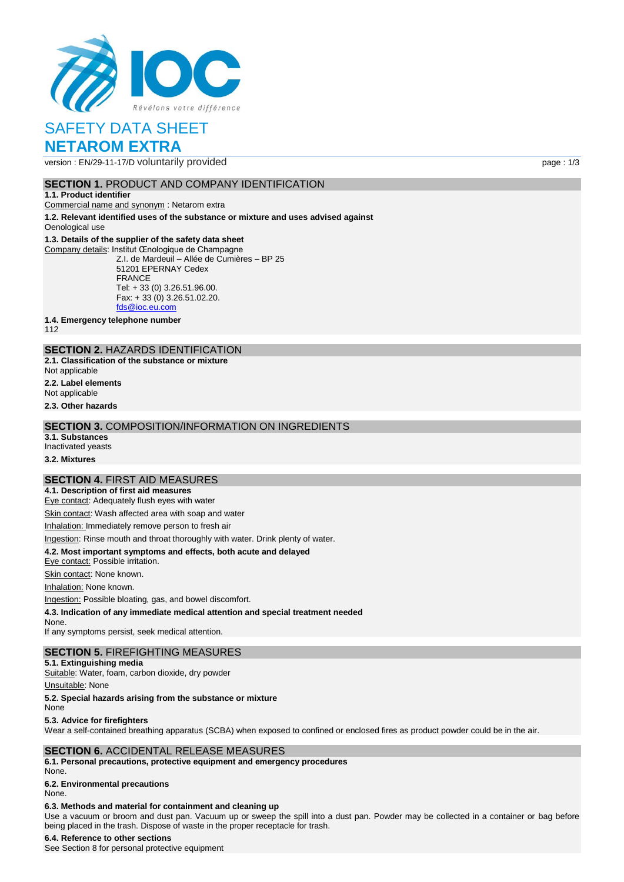

# SAFETY DATA SHEET **NETAROM EXTRA**

version : EN/29-11-17/D voluntarily provided page : 1/3

# **SECTION 1. PRODUCT AND COMPANY IDENTIFICATION**

#### **1.1. Product identifier**

Commercial name and synonym : Netarom extra

**1.2. Relevant identified uses of the substance or mixture and uses advised against** Oenological use

#### **1.3. Details of the supplier of the safety data sheet**

Company details: Institut Œnologique de Champagne Z.I. de Mardeuil – Allée de Cumières – BP 25 51201 EPERNAY Cedex FRANCE Tel: + 33 (0) 3.26.51.96.00. Fax: + 33 (0) 3.26.51.02.20. [fds@ioc.eu.com](mailto:fds@ioc.eu.com)

**1.4. Emergency telephone number**

112

# **SECTION 2.** HAZARDS IDENTIFICATION

**2.1. Classification of the substance or mixture**

- Not applicable
- **2.2. Label elements**
- Not applicable

**2.3. Other hazards**

### **SECTION 3.** COMPOSITION/INFORMATION ON INGREDIENTS

- **3.1. Substances**
- Inactivated yeasts

**3.2. Mixtures**

# **SECTION 4.** FIRST AID MEASURES

**4.1. Description of first aid measures** Eye contact: Adequately flush eyes with water

Skin contact: Wash affected area with soap and water

Inhalation: Immediately remove person to fresh air

Ingestion: Rinse mouth and throat thoroughly with water. Drink plenty of water.

## **4.2. Most important symptoms and effects, both acute and delayed**

Eye contact: Possible irritation.

Skin contact: None known.

Inhalation: None known.

Ingestion: Possible bloating, gas, and bowel discomfort.

**4.3. Indication of any immediate medical attention and special treatment needed**

None.

If any symptoms persist, seek medical attention.

# **SECTION 5.** FIREFIGHTING MEASURES

**5.1. Extinguishing media** Suitable: Water, foam, carbon dioxide, dry powder

Unsuitable: None

**5.2. Special hazards arising from the substance or mixture**

None

**5.3. Advice for firefighters**

Wear a self-contained breathing apparatus (SCBA) when exposed to confined or enclosed fires as product powder could be in the air.

## **SECTION 6.** ACCIDENTAL RELEASE MEASURES

**6.1. Personal precautions, protective equipment and emergency procedures** None.

# **6.2. Environmental precautions**

None.

#### **6.3. Methods and material for containment and cleaning up**

Use a vacuum or broom and dust pan. Vacuum up or sweep the spill into a dust pan. Powder may be collected in a container or bag before being placed in the trash. Dispose of waste in the proper receptacle for trash.

#### **6.4. Reference to other sections**

See Section 8 for personal protective equipment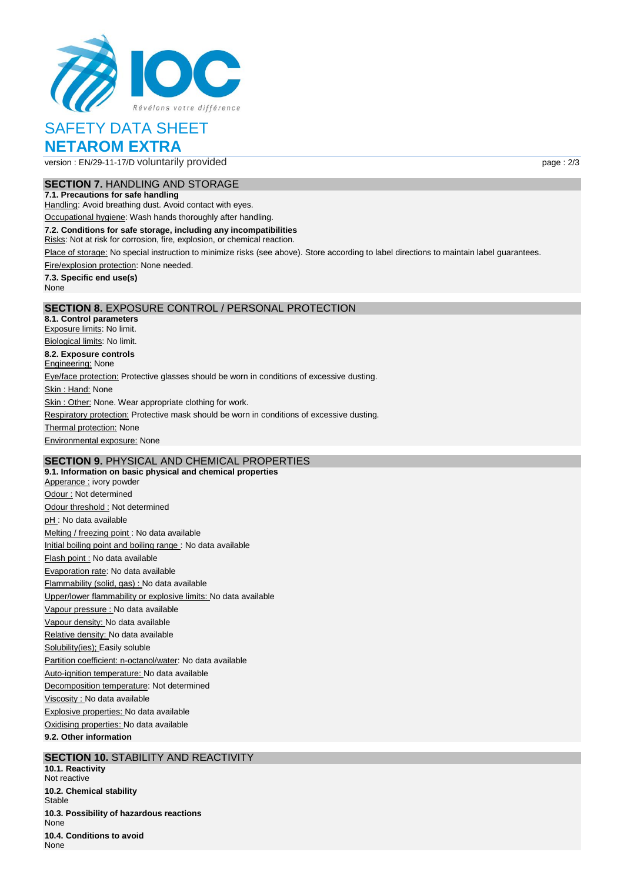

# SAFETY DATA SHEET **NETAROM EXTRA**

version : EN/29-11-17/D voluntarily provided page : 2/3

# **SECTION 7.** HANDLING AND STORAGE

**7.1. Precautions for safe handling** Handling: Avoid breathing dust. Avoid contact with eyes.

Occupational hygiene: Wash hands thoroughly after handling.

**7.2. Conditions for safe storage, including any incompatibilities**

Risks: Not at risk for corrosion, fire, explosion, or chemical reaction.

Place of storage: No special instruction to minimize risks (see above). Store according to label directions to maintain label guarantees.

Fire/explosion protection: None needed.

**7.3. Specific end use(s)** None

## **SECTION 8.** EXPOSURE CONTROL / PERSONAL PROTECTION

**8.1. Control parameters** Exposure limits: No limit. Biological limits: No limit. **8.2. Exposure controls Engineering: None** Eye/face protection: Protective glasses should be worn in conditions of excessive dusting. Skin: Hand: None Skin : Other: None. Wear appropriate clothing for work. Respiratory protection: Protective mask should be worn in conditions of excessive dusting. **Thermal protection: None** Environmental exposure: None

# **SECTION 9.** PHYSICAL AND CHEMICAL PROPERTIES

**9.1. Information on basic physical and chemical properties** Apperance : ivory powder Odour : Not determined Odour threshold : Not determined pH : No data available Melting / freezing point : No data available Initial boiling point and boiling range : No data available Flash point : No data available Evaporation rate: No data available Flammability (solid, gas) : No data available Upper/lower flammability or explosive limits: No data available Vapour pressure : No data available Vapour density: No data available Relative density: No data available Solubility(ies); Easily soluble Partition coefficient: n-octanol/water: No data available Auto-ignition temperature: No data available Decomposition temperature: Not determined Viscosity : No data available Explosive properties: No data available Oxidising properties: No data available **9.2. Other information**

# **SECTION 10.** STABILITY AND REACTIVITY

**10.1. Reactivity** Not reactive **10.2. Chemical stability Stable 10.3. Possibility of hazardous reactions** None **10.4. Conditions to avoid** None